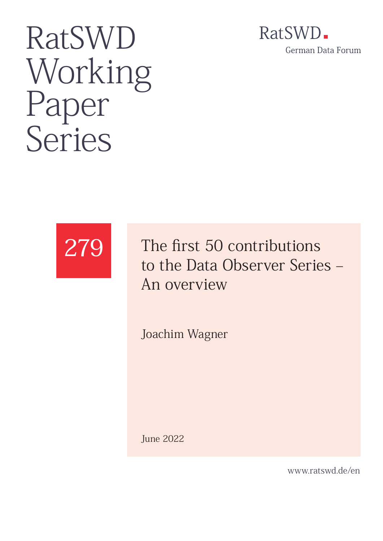## RatSWD. German Data Forum

# RatSWD Working Paper<br>Series



The first 50 contributions to the Data Observer Series – An overview

Joachim Wagner

June 2022

www.ratswd.de/en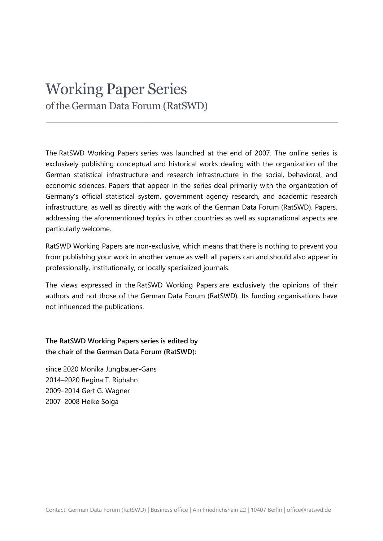### Working Paper Series of the German Data Forum (RatSWD)

The RatSWD Working Papers series was launched at the end of 2007. The online series is exclusively publishing conceptual and historical works dealing with the organization of the German statistical infrastructure and research infrastructure in the social, behavioral, and economic sciences. Papers that appear in the series deal primarily with the organization of Germany's official statistical system, government agency research, and academic research infrastructure, as well as directly with the work of the German Data Forum (RatSWD). Papers, addressing the aforementioned topics in other countries as well as supranational aspects are particularly welcome.

RatSWD Working Papers are non-exclusive, which means that there is nothing to prevent you from publishing your work in another venue as well: all papers can and should also appear in professionally, institutionally, or locally specialized journals.

The views expressed in the RatSWD Working Papers are exclusively the opinions of their authors and not those of the German Data Forum (RatSWD). Its funding organisations have not influenced the publications.

**The RatSWD Working Papers series is edited by the chair of the German Data Forum (RatSWD):**

since 2020 Monika Jungbauer-Gans 2014–2020 Regina T. Riphahn 2009–2014 Gert G. Wagner 2007–2008 Heike Solga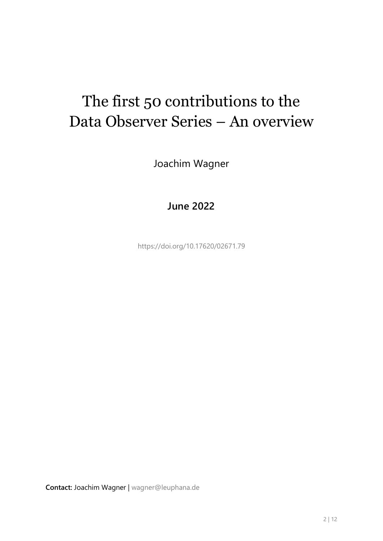## The first 50 contributions to the Data Observer Series – An overview

Joachim Wagner

#### **June 2022**

<https://doi.org/10.17620/02671.79>

**Contact:** Joachim Wagner | [wagner@leuphana.de](mailto:wagner@leuphana.de)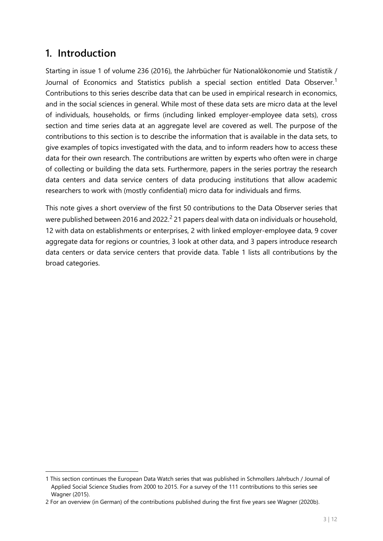#### **1. Introduction**

-

Starting in issue 1 of volume 236 (2016), the Jahrbücher für Nationalökonomie und Statistik / Journal of Economics and Statistics publish a special section entitled Data Observer.<sup>[1](#page-3-0)</sup> Contributions to this series describe data that can be used in empirical research in economics, and in the social sciences in general. While most of these data sets are micro data at the level of individuals, households, or firms (including linked employer-employee data sets), cross section and time series data at an aggregate level are covered as well. The purpose of the contributions to this section is to describe the information that is available in the data sets, to give examples of topics investigated with the data, and to inform readers how to access these data for their own research. The contributions are written by experts who often were in charge of collecting or building the data sets. Furthermore, papers in the series portray the research data centers and data service centers of data producing institutions that allow academic researchers to work with (mostly confidential) micro data for individuals and firms.

This note gives a short overview of the first 50 contributions to the Data Observer series that were published between [2](#page-3-1)016 and 2022.<sup>2</sup> 21 papers deal with data on individuals or household, 12 with data on establishments or enterprises, 2 with linked employer-employee data, 9 cover aggregate data for regions or countries, 3 look at other data, and 3 papers introduce research data centers or data service centers that provide data. Table 1 lists all contributions by the broad categories.

<span id="page-3-0"></span><sup>1</sup> This section continues the European Data Watch series that was published in Schmollers Jahrbuch / Journal of Applied Social Science Studies from 2000 to 2015. For a survey of the 111 contributions to this series see Wagner (2015).

<span id="page-3-1"></span><sup>2</sup> For an overview (in German) of the contributions published during the first five years see Wagner (2020b).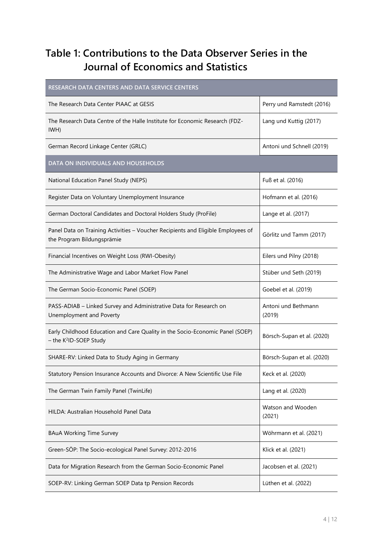#### **Table 1: Contributions to the Data Observer Series in the Journal of Economics and Statistics**

| RESEARCH DATA CENTERS AND DATA SERVICE CENTERS                                                                      |                               |  |
|---------------------------------------------------------------------------------------------------------------------|-------------------------------|--|
| The Research Data Center PIAAC at GESIS                                                                             | Perry und Ramstedt (2016)     |  |
| The Research Data Centre of the Halle Institute for Economic Research (FDZ-<br>IWH)                                 | Lang und Kuttig (2017)        |  |
| German Record Linkage Center (GRLC)                                                                                 | Antoni und Schnell (2019)     |  |
| DATA ON INDIVIDUALS AND HOUSEHOLDS                                                                                  |                               |  |
| National Education Panel Study (NEPS)                                                                               | Fuß et al. (2016)             |  |
| Register Data on Voluntary Unemployment Insurance                                                                   | Hofmann et al. (2016)         |  |
| German Doctoral Candidates and Doctoral Holders Study (ProFile)                                                     | Lange et al. (2017)           |  |
| Panel Data on Training Activities - Voucher Recipients and Eligible Employees of<br>the Program Bildungsprämie      | Görlitz und Tamm (2017)       |  |
| Financial Incentives on Weight Loss (RWI-Obesity)                                                                   | Eilers und Pilny (2018)       |  |
| The Administrative Wage and Labor Market Flow Panel                                                                 | Stüber und Seth (2019)        |  |
| The German Socio-Economic Panel (SOEP)                                                                              | Goebel et al. (2019)          |  |
| PASS-ADIAB - Linked Survey and Administrative Data for Research on<br>Unemployment and Poverty                      | Antoni und Bethmann<br>(2019) |  |
| Early Childhood Education and Care Quality in the Socio-Economic Panel (SOEP)<br>- the K <sup>2</sup> ID-SOEP Study | Börsch-Supan et al. (2020)    |  |
| SHARE-RV: Linked Data to Study Aging in Germany                                                                     | Börsch-Supan et al. (2020)    |  |
| Statutory Pension Insurance Accounts and Divorce: A New Scientific Use File                                         | Keck et al. (2020)            |  |
| The German Twin Family Panel (TwinLife)                                                                             | Lang et al. (2020)            |  |
| HILDA: Australian Household Panel Data                                                                              | Watson and Wooden<br>(2021)   |  |
| <b>BAuA Working Time Survey</b>                                                                                     | Wöhrmann et al. (2021)        |  |
| Green-SÖP: The Socio-ecological Panel Survey: 2012-2016                                                             | Klick et al. (2021)           |  |
| Data for Migration Research from the German Socio-Economic Panel                                                    | Jacobsen et al. (2021)        |  |
| SOEP-RV: Linking German SOEP Data tp Pension Records                                                                | Lüthen et al. (2022)          |  |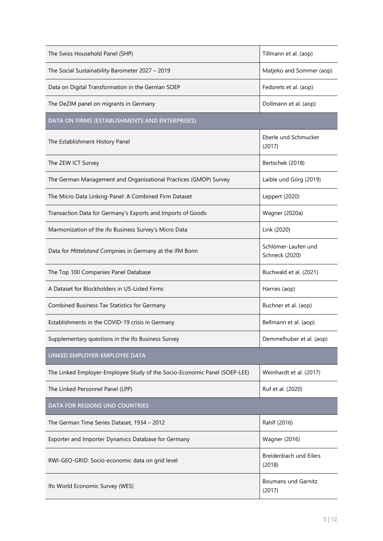| The Swiss Household Panel (SHP)                                           | Tillmann et al. (aop)                 |
|---------------------------------------------------------------------------|---------------------------------------|
| The Social Sustainability Barometer 2027 - 2019                           | Matjeko and Sommer (aop)              |
| Data on Digital Transformation in the German SOEP                         | Fedorets et al. (aop)                 |
| The DeZIM panel on migrants in Germany                                    | Dollmann et al. (aop)                 |
| DATA ON FIRMS (ESTABLISHMENTS AND ENTERPRISES)                            |                                       |
| The Establishment History Panel                                           | Eberle und Schmucker<br>(2017)        |
| The ZEW ICT Survey                                                        | Bertschek (2018)                      |
| The German Management and Organizational Practices (GMOP) Survey          | Laible und Görg (2019)                |
| The Micro Data Linking-Panel: A Combined Firm Dataset                     | Leppert (2020)                        |
| Transaction Data for Germany's Exports and Imports of Goods               | <b>Wagner (2020a)</b>                 |
| Marmonization of the ifo Business Survey's Micro Data                     | Link (2020)                           |
| Data for Mittelstand Compnies in Germany at the IfM Bonn                  | Schlömer-Laufen und<br>Schneck (2020) |
| The Top 100 Companies Panel Database                                      | Buchwald et al. (2021)                |
| A Dataset for Blockholders in US-Listed Firms                             | Harries (aop)                         |
| Combined Business Tax Statistics for Germany                              | Buchner et al. (aop)                  |
| Establishments in the COVID-19 crisis in Germany                          | Bellmann et al. (aop)                 |
| Supplementary questions in the ifo Business Survey                        | Demmelhuber et al. (aop)              |
| LINKED EMPLOYER-EMPLOYEE DATA                                             |                                       |
| The Linked Employer-Employee Study of the Socio-Economic Panel (SOEP-LEE) | Weinhardt et al. (2017)               |
| The Linked Personnel Panel (LPP)                                          | Ruf et al. (2020)                     |
| DATA FOR REGIONS UND COUNTRIES                                            |                                       |
| The German Time Series Dataset, 1934 - 2012                               | Rahlf (2016)                          |
| Exporter and Importer Dynamics Database for Germany                       | <b>Wagner (2016)</b>                  |
| RWI-GEO-GRID: Socio-economic data on grid level                           | Breidenbach und Eilers<br>(2018)      |
| Ifo World Economic Survey (WES)                                           | <b>Boumans und Garnitz</b><br>(2017)  |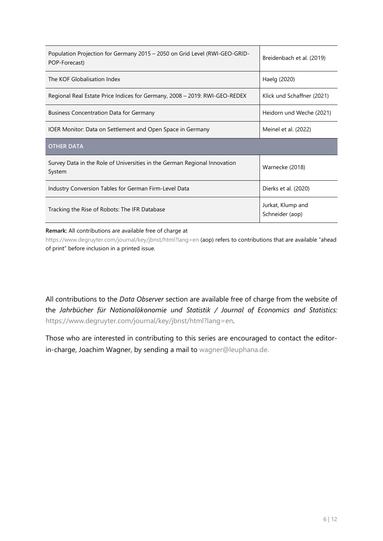| Population Projection for Germany 2015 - 2050 on Grid Level (RWI-GEO-GRID-<br>POP-Forecast) | Breidenbach et al. (2019)            |
|---------------------------------------------------------------------------------------------|--------------------------------------|
| The KOF Globalisation Index                                                                 | Haelg (2020)                         |
| Regional Real Estate Price Indices for Germany, 2008 - 2019: RWI-GEO-REDEX                  | Klick und Schaffner (2021)           |
| <b>Business Concentration Data for Germany</b>                                              | Heidorn und Weche (2021)             |
| IOER Monitor: Data on Settlement and Open Space in Germany                                  | Meinel et al. (2022)                 |
| <b>OTHER DATA</b>                                                                           |                                      |
| Survey Data in the Role of Universities in the German Regional Innovation<br>System         | Warnecke (2018)                      |
| Industry Conversion Tables for German Firm-Level Data                                       | Dierks et al. (2020)                 |
| Tracking the Rise of Robots: The IFR Database                                               | Jurkat, Klump and<br>Schneider (aop) |

#### **Remark:** All contributions are available free of charge at

https://www.degruyter.com/journal/key/jbnst/html?lang=en (aop) refers to contributions that are available "ahead of print" before inclusion in a printed issue.

All contributions to the *Data Observer* section are available free of charge from the website of the *Jahrbücher für Nationalökonomie und Statistik / Journal of Economics and Statistics:* [https://www.degruyter.com/journal/key/jbnst/html?lang=en.](https://www.degruyter.com/journal/key/jbnst/html?lang=en)

Those who are interested in contributing to this series are encouraged to contact the editorin-charge, Joachim Wagner, by sending a mail to [wagner@leuphana.de.](mailto:wagner@leuphana.de)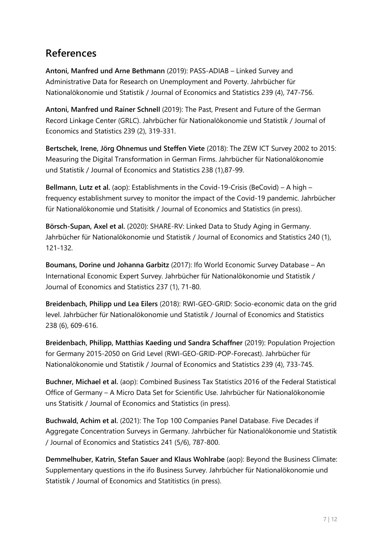#### **References**

**Antoni, Manfred und Arne Bethmann** (2019): PASS-ADIAB – Linked Survey and Administrative Data for Research on Unemployment and Poverty. Jahrbücher für Nationalökonomie und Statistik / Journal of Economics and Statistics 239 (4), 747-756.

**Antoni, Manfred und Rainer Schnell** (2019): The Past, Present and Future of the German Record Linkage Center (GRLC). Jahrbücher für Nationalökonomie und Statistik / Journal of Economics and Statistics 239 (2), 319-331.

**Bertschek, Irene, Jörg Ohnemus und Steffen Viete** (2018): The ZEW ICT Survey 2002 to 2015: Measuring the Digital Transformation in German Firms. Jahrbücher für Nationalökonomie und Statistik / Journal of Economics and Statistics 238 (1),87-99.

**Bellmann, Lutz et al.** (aop): Establishments in the Covid-19-Crisis (BeCovid) – A high – frequency establishment survey to monitor the impact of the Covid-19 pandemic. Jahrbücher für Nationalökonomie und Statisitk / Journal of Economics and Statistics (in press).

**Börsch-Supan, Axel et al.** (2020): SHARE-RV: Linked Data to Study Aging in Germany. Jahrbücher für Nationalökonomie und Statistik / Journal of Economics and Statistics 240 (1), 121-132.

**Boumans, Dorine und Johanna Garbitz** (2017): Ifo World Economic Survey Database – An International Economic Expert Survey. Jahrbücher für Nationalökonomie und Statistik / Journal of Economics and Statistics 237 (1), 71-80.

**Breidenbach, Philipp und Lea Eilers** (2018): RWI-GEO-GRID: Socio-economic data on the grid level. Jahrbücher für Nationalökonomie und Statistik / Journal of Economics and Statistics 238 (6), 609-616.

**Breidenbach, Philipp, Matthias Kaeding und Sandra Schaffner** (2019): Population Projection for Germany 2015-2050 on Grid Level (RWI-GEO-GRID-POP-Forecast). Jahrbücher für Nationalökonomie und Statistik / Journal of Economics and Statistics 239 (4), 733-745.

**Buchner, Michael et al.** (aop): Combined Business Tax Statistics 2016 of the Federal Statistical Office of Germany – A Micro Data Set for Scientific Use. Jahrbücher für Nationalökonomie uns Statisitk / Journal of Economics and Statistics (in press).

**Buchwald, Achim et al.** (2021): The Top 100 Companies Panel Database. Five Decades if Aggregate Concentration Surveys in Germany. Jahrbücher für Nationalökonomie und Statistik / Journal of Economics and Statistics 241 (5/6), 787-800.

**Demmelhuber, Katrin, Stefan Sauer and Klaus Wohlrabe** (aop): Beyond the Business Climate: Supplementary questions in the ifo Business Survey. Jahrbücher für Nationalökonomie und Statistik / Journal of Economics and Statitistics (in press).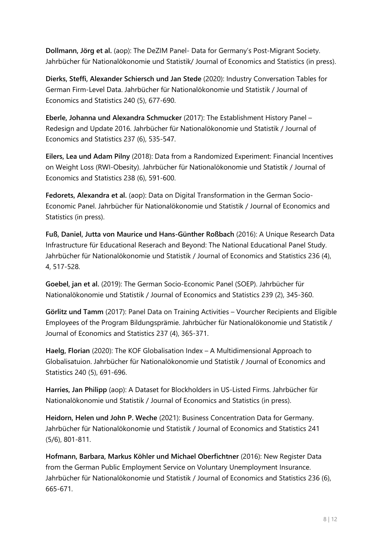**Dollmann, Jörg et al.** (aop): The DeZIM Panel- Data for Germany's Post-Migrant Society. Jahrbücher für Nationalökonomie und Statistik/ Journal of Economics and Statistics (in press).

**Dierks, Steffi, Alexander Schiersch und Jan Stede** (2020): Industry Conversation Tables for German Firm-Level Data. Jahrbücher für Nationalökonomie und Statistik / Journal of Economics and Statistics 240 (5), 677-690.

**Eberle, Johanna und Alexandra Schmucker** (2017): The Establishment History Panel – Redesign and Update 2016. Jahrbücher für Nationalökonomie und Statistik / Journal of Economics and Statistics 237 (6), 535-547.

**Eilers, Lea und Adam Pilny** (2018): Data from a Randomized Experiment: Financial Incentives on Weight Loss (RWI-Obesity). Jahrbücher für Nationalökonomie und Statistik / Journal of Economics and Statistics 238 (6), 591-600.

**Fedorets, Alexandra et al.** (aop): Data on Digital Transformation in the German Socio-Economic Panel. Jahrbücher für Nationalökonomie und Statistik / Journal of Economics and Statistics (in press).

**Fuß, Daniel, Jutta von Maurice und Hans-Günther Roßbach** (2016): A Unique Research Data Infrastructure für Educational Reserach and Beyond: The National Educational Panel Study. Jahrbücher für Nationalökonomie und Statistik / Journal of Economics and Statistics 236 (4), 4, 517-528.

**Goebel, jan et al.** (2019): The German Socio-Economic Panel (SOEP). Jahrbücher für Nationalökonomie und Statistik / Journal of Economics and Statistics 239 (2), 345-360.

**Görlitz und Tamm** (2017): Panel Data on Training Activities – Vourcher Recipients and Eligible Employees of the Program Bildungsprämie. Jahrbücher für Nationalökonomie und Statistik / Journal of Economics and Statistics 237 (4), 365-371.

**Haelg, Florian** (2020): The KOF Globalisation Index – A Multidimensional Approach to Globalisatuion. Jahrbücher für Nationalökonomie und Statistik / Journal of Economics and Statistics 240 (5), 691-696.

**Harries, Jan Philipp** (aop): A Dataset for Blockholders in US-Listed Firms. Jahrbücher für Nationalökonomie und Statistik / Journal of Economics and Statistics (in press).

**Heidorn, Helen und John P. Weche** (2021): Business Concentration Data for Germany. Jahrbücher für Nationalökonomie und Statistik / Journal of Economics and Statistics 241 (5/6), 801-811.

**Hofmann, Barbara, Markus Köhler und Michael Oberfichtner** (2016): New Register Data from the German Public Employment Service on Voluntary Unemployment Insurance. Jahrbücher für Nationalökonomie und Statistik / Journal of Economics and Statistics 236 (6), 665-671.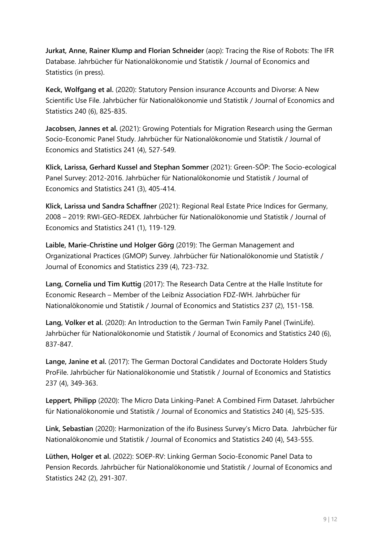**Jurkat, Anne, Rainer Klump and Florian Schneider** (aop): Tracing the Rise of Robots: The IFR Database. Jahrbücher für Nationalökonomie und Statistik / Journal of Economics and Statistics (in press).

**Keck, Wolfgang et al.** (2020): Statutory Pension insurance Accounts and Divorse: A New Scientific Use File. Jahrbücher für Nationalökonomie und Statistik / Journal of Economics and Statistics 240 (6), 825-835.

**Jacobsen, Jannes et al.** (2021): Growing Potentials for Migration Research using the German Socio-Economic Panel Study. Jahrbücher für Nationalökonomie und Statistik / Journal of Economics and Statistics 241 (4), 527-549.

**Klick, Larissa, Gerhard Kussel and Stephan Sommer** (2021): Green-SÖP: The Socio-ecological Panel Survey: 2012-2016. Jahrbücher für Nationalökonomie und Statistik / Journal of Economics and Statistics 241 (3), 405-414.

**Klick, Larissa und Sandra Schaffner** (2021): Regional Real Estate Price Indices for Germany, 2008 – 2019: RWI-GEO-REDEX. Jahrbücher für Nationalökonomie und Statistik / Journal of Economics and Statistics 241 (1), 119-129.

**Laible, Marie-Christine und Holger Görg** (2019): The German Management and Organizational Practices (GMOP) Survey. Jahrbücher für Nationalökonomie und Statistik / Journal of Economics and Statistics 239 (4), 723-732.

**Lang, Cornelia und Tim Kuttig** (2017): The Research Data Centre at the Halle Institute for Economic Research – Member of the Leibniz Association FDZ-IWH. Jahrbücher für Nationalökonomie und Statistik / Journal of Economics and Statistics 237 (2), 151-158.

**Lang, Volker et al.** (2020): An Introduction to the German Twin Family Panel (TwinLife). Jahrbücher für Nationalökonomie und Statistik / Journal of Economics and Statistics 240 (6), 837-847.

**Lange, Janine et al.** (2017): The German Doctoral Candidates and Doctorate Holders Study ProFile. Jahrbücher für Nationalökonomie und Statistik / Journal of Economics and Statistics 237 (4), 349-363.

**Leppert, Philipp** (2020): The Micro Data Linking-Panel: A Combined Firm Dataset. Jahrbücher für Nationalökonomie und Statistik / Journal of Economics and Statistics 240 (4), 525-535.

**Link, Sebastian** (2020): Harmonization of the ifo Business Survey's Micro Data. Jahrbücher für Nationalökonomie und Statistik / Journal of Economics and Statistics 240 (4), 543-555.

**Lüthen, Holger et al.** (2022): SOEP-RV: Linking German Socio-Economic Panel Data to Pension Records. Jahrbücher für Nationalökonomie und Statistik / Journal of Economics and Statistics 242 (2), 291-307.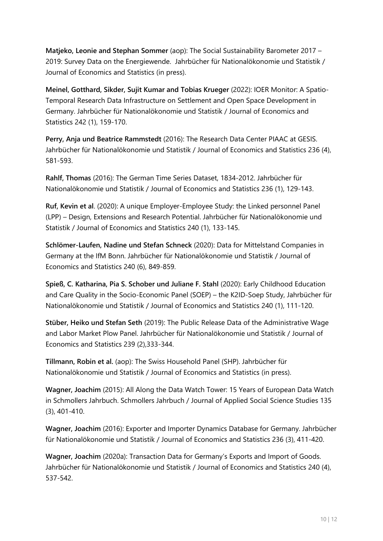**Matjeko, Leonie and Stephan Sommer** (aop): The Social Sustainability Barometer 2017 – 2019: Survey Data on the Energiewende. Jahrbücher für Nationalökonomie und Statistik / Journal of Economics and Statistics (in press).

**Meinel, Gotthard, Sikder, Sujit Kumar and Tobias Krueger** (2022): IOER Monitor: A Spatio-Temporal Research Data Infrastructure on Settlement and Open Space Development in Germany. Jahrbücher für Nationalökonomie und Statistik / Journal of Economics and Statistics 242 (1), 159-170.

**Perry, Anja und Beatrice Rammstedt** (2016): The Research Data Center PIAAC at GESIS. Jahrbücher für Nationalökonomie und Statistik / Journal of Economics and Statistics 236 (4), 581-593.

**Rahlf, Thomas** (2016): The German Time Series Dataset, 1834-2012. Jahrbücher für Nationalökonomie und Statistik / Journal of Economics and Statistics 236 (1), 129-143.

**Ruf, Kevin et al**. (2020): A unique Employer-Employee Study: the Linked personnel Panel (LPP) – Design, Extensions and Research Potential. Jahrbücher für Nationalökonomie und Statistik / Journal of Economics and Statistics 240 (1), 133-145.

**Schlömer-Laufen, Nadine und Stefan Schneck** (2020): Data for Mittelstand Companies in Germany at the IfM Bonn. Jahrbücher für Nationalökonomie und Statistik / Journal of Economics and Statistics 240 (6), 849-859.

**Spieß, C. Katharina, Pia S. Schober und Juliane F. Stahl** (2020): Early Childhood Education and Care Quality in the Socio-Economic Panel (SOEP) – the K2ID-Soep Study, Jahrbücher für Nationalökonomie und Statistik / Journal of Economics and Statistics 240 (1), 111-120.

**Stüber, Heiko und Stefan Seth** (2019): The Public Release Data of the Administrative Wage and Labor Market Plow Panel. Jahrbücher für Nationalökonomie und Statistik / Journal of Economics and Statistics 239 (2),333-344.

**Tillmann, Robin et al.** (aop): The Swiss Household Panel (SHP). Jahrbücher für Nationalökonomie und Statistik / Journal of Economics and Statistics (in press).

**Wagner, Joachim** (2015): All Along the Data Watch Tower: 15 Years of European Data Watch in Schmollers Jahrbuch. Schmollers Jahrbuch / Journal of Applied Social Science Studies 135 (3), 401-410.

**Wagner, Joachim** (2016): Exporter and Importer Dynamics Database for Germany. Jahrbücher für Nationalökonomie und Statistik / Journal of Economics and Statistics 236 (3), 411-420.

**Wagner, Joachim** (2020a): Transaction Data for Germany's Exports and Import of Goods. Jahrbücher für Nationalökonomie und Statistik / Journal of Economics and Statistics 240 (4), 537-542.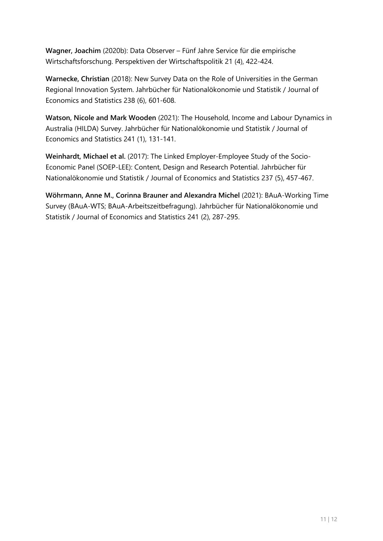**Wagner, Joachim** (2020b): Data Observer – Fünf Jahre Service für die empirische Wirtschaftsforschung. Perspektiven der Wirtschaftspolitik 21 (4), 422-424.

**Warnecke, Christian** (2018): New Survey Data on the Role of Universities in the German Regional Innovation System. Jahrbücher für Nationalökonomie und Statistik / Journal of Economics and Statistics 238 (6), 601-608.

**Watson, Nicole and Mark Wooden** (2021): The Household, Income and Labour Dynamics in Australia (HILDA) Survey. Jahrbücher für Nationalökonomie und Statistik / Journal of Economics and Statistics 241 (1), 131-141.

**Weinhardt, Michael et al.** (2017): The Linked Employer-Employee Study of the Socio-Economic Panel (SOEP-LEE): Content, Design and Research Potential. Jahrbücher für Nationalökonomie und Statistik / Journal of Economics and Statistics 237 (5), 457-467.

**Wöhrmann, Anne M., Corinna Brauner and Alexandra Michel** (2021): BAuA-Working Time Survey (BAuA-WTS; BAuA-Arbeitszeitbefragung). Jahrbücher für Nationalökonomie und Statistik / Journal of Economics and Statistics 241 (2), 287-295.